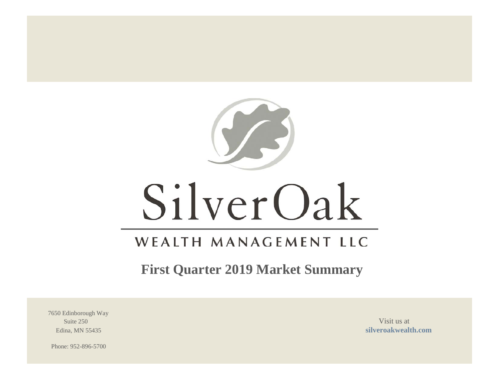

# SilverOak

# WEALTH MANAGEMENT LLC

**First Quarter 2019 Market Summary**

7650 Edinborough Way Suite 250 Visit us at  $\frac{1}{2}$  Visit us at  $\frac{1}{2}$  Visit us at  $\frac{1}{2}$  Visit us at  $\frac{1}{2}$ 

Edina, MN 55435 **[silveroakwealth.com](http://www.silveroakwealth.com/silveroakwealth.aspx)**

Phone: 952-896-5700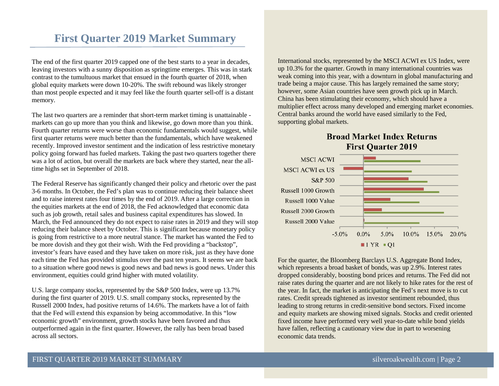# **First Quarter 2019 Market Summary**

The end of the first quarter 2019 capped one of the best starts to a year in decades, leaving investors with a sunny disposition as springtime emerges. This was in stark contrast to the tumultuous market that ensued in the fourth quarter of 2018, when global equity markets were down 10-20%. The swift rebound was likely stronger than most people expected and it may feel like the fourth quarter sell-off is a distant memory.

The last two quarters are a reminder that short-term market timing is unattainable markets can go up more than you think and likewise, go down more than you think. Fourth quarter returns were worse than economic fundamentals would suggest, while first quarter returns were much better than the fundamentals, which have weakened recently. Improved investor sentiment and the indication of less restrictive monetary policy going forward has fueled markets. Taking the past two quarters together there was a lot of action, but overall the markets are back where they started, near the alltime highs set in September of 2018.

The Federal Reserve has significantly changed their policy and rhetoric over the past 3-6 months. In October, the Fed's plan was to continue reducing their balance sheet and to raise interest rates four times by the end of 2019. After a large correction in the equities markets at the end of 2018, the Fed acknowledged that economic data such as job growth, retail sales and business capital expenditures has slowed. In March, the Fed announced they do not expect to raise rates in 2019 and they will stop reducing their balance sheet by October. This is significant because monetary policy is going from restrictive to a more neutral stance. The market has wanted the Fed to be more dovish and they got their wish. With the Fed providing a "backstop", investor's fears have eased and they have taken on more risk, just as they have done each time the Fed has provided stimulus over the past ten years. It seems we are back to a situation where good news is good news and bad news is good news. Under this environment, equities could grind higher with muted volatility.

U.S. large company stocks, represented by the S&P 500 Index, were up 13.7% during the first quarter of 2019. U.S. small company stocks, represented by the Russell 2000 Index, had positive returns of 14.6%. The markets have a lot of faith that the Fed will extend this expansion by being accommodative. In this "low economic growth" environment, growth stocks have been favored and thus outperformed again in the first quarter. However, the rally has been broad based across all sectors.

International stocks, represented by the MSCI ACWI ex US Index, were up 10.3% for the quarter. Growth in many international countries was weak coming into this year, with a downturn in global manufacturing and trade being a major cause. This has largely remained the same story; however, some Asian countries have seen growth pick up in March. China has been stimulating their economy, which should have a multiplier effect across many developed and emerging market economies. Central banks around the world have eased similarly to the Fed, supporting global markets.





For the quarter, the Bloomberg Barclays U.S. Aggregate Bond Index, which represents a broad basket of bonds, was up 2.9%. Interest rates dropped considerably, boosting bond prices and returns. The Fed did not raise rates during the quarter and are not likely to hike rates for the rest of the year. In fact, the market is anticipating the Fed's next move is to cut rates. Credit spreads tightened as investor sentiment rebounded, thus leading to strong returns in credit-sensitive bond sectors. Fixed income and equity markets are showing mixed signals. Stocks and credit oriented fixed income have performed very well year-to-date while bond yields have fallen, reflecting a cautionary view due in part to worsening economic data trends.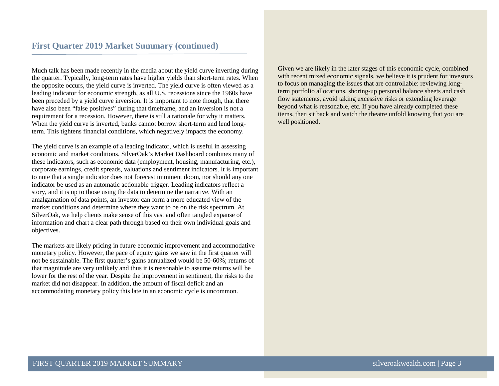Much talk has been made recently in the media about the yield curve inverting during the quarter. Typically, long-term rates have higher yields than short-term rates. When the opposite occurs, the yield curve is inverted. The yield curve is often viewed as a leading indicator for economic strength, as all U.S. recessions since the 1960s have been preceded by a yield curve inversion. It is important to note though, that there have also been "false positives" during that timeframe, and an inversion is not a requirement for a recession. However, there is still a rationale for why it matters. When the yield curve is inverted, banks cannot borrow short-term and lend longterm. This tightens financial conditions, which negatively impacts the economy.

The yield curve is an example of a leading indicator, which is useful in assessing economic and market conditions. SilverOak's Market Dashboard combines many of these indicators, such as economic data (employment, housing, manufacturing, etc.), corporate earnings, credit spreads, valuations and sentiment indicators. It is important to note that a single indicator does not forecast imminent doom, nor should any one indicator be used as an automatic actionable trigger. Leading indicators reflect a story, and it is up to those using the data to determine the narrative. With an amalgamation of data points, an investor can form a more educated view of the market conditions and determine where they want to be on the risk spectrum. At SilverOak, we help clients make sense of this vast and often tangled expanse of information and chart a clear path through based on their own individual goals and objectives.

The markets are likely pricing in future economic improvement and accommodative monetary policy. However, the pace of equity gains we saw in the first quarter will not be sustainable. The first quarter's gains annualized would be 50-60%; returns of that magnitude are very unlikely and thus it is reasonable to assume returns will be lower for the rest of the year. Despite the improvement in sentiment, the risks to the market did not disappear. In addition, the amount of fiscal deficit and an accommodating monetary policy this late in an economic cycle is uncommon.

Given we are likely in the later stages of this economic cycle, combined with recent mixed economic signals, we believe it is prudent for investors to focus on managing the issues that are controllable: reviewing longterm portfolio allocations, shoring-up personal balance sheets and cash flow statements, avoid taking excessive risks or extending leverage beyond what is reasonable, etc. If you have already completed these items, then sit back and watch the theatre unfold knowing that you are well positioned.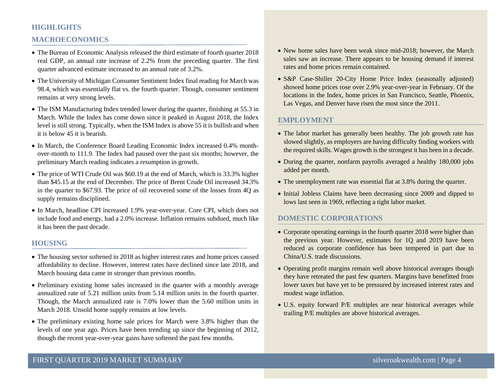# **HIGHLIGHTS**

# **MACROECONOMICS**

- The Bureau of Economic Analysis released the third estimate of fourth quarter 2018 real GDP, an annual rate increase of 2.2% from the preceding quarter. The first quarter advanced estimate increased to an annual rate of 3.2%.
- The University of Michigan Consumer Sentiment Index final reading for March was 98.4, which was essentially flat vs. the fourth quarter. Though, consumer sentiment remains at very strong levels.
- The ISM Manufacturing Index trended lower during the quarter, finishing at 55.3 in March. While the Index has come down since it peaked in August 2018, the Index level is still strong. Typically, when the ISM Index is above 55 it is bullish and when it is below 45 it is bearish.
- In March, the Conference Board Leading Economic Index increased 0.4% monthover-month to 111.9. The Index had paused over the past six months; however, the preliminary March reading indicates a resumption in growth.
- The price of WTI Crude Oil was \$60.19 at the end of March, which is 33.3% higher than \$45.15 at the end of December. The price of Brent Crude Oil increased 34.3% in the quarter to \$67.93. The price of oil recovered some of the losses from 4Q as supply remains disciplined.
- In March, headline CPI increased 1.9% year-over-year. Core CPI, which does not include food and energy, had a 2.0% increase. Inflation remains subdued, much like it has been the past decade.

# **HOUSING**

- The housing sector softened in 2018 as higher interest rates and home prices caused affordability to decline. However, interest rates have declined since late 2018, and March housing data came in stronger than previous months.
- Preliminary existing home sales increased in the quarter with a monthly average annualized rate of 5.21 million units from 5.14 million units in the fourth quarter. Though, the March annualized rate is 7.0% lower than the 5.60 million units in March 2018. Unsold home supply remains at low levels.
- The preliminary existing home sale prices for March were 3.8% higher than the levels of one year ago. Prices have been trending up since the beginning of 2012, though the recent year-over-year gains have softened the past few months.
- New home sales have been weak since mid-2018; however, the March sales saw an increase. There appears to be housing demand if interest rates and home prices remain contained.
- S&P Case-Shiller 20-City Home Price Index (seasonally adjusted) showed home prices rose over 2.9% year-over-year in February. Of the locations in the Index, home prices in San Francisco, Seattle, Phoenix, Las Vegas, and Denver have risen the most since the 2011.

#### **EMPLOYMENT**

- The labor market has generally been healthy. The job growth rate has slowed slightly, as employers are having difficulty finding workers with the required skills. Wages growth is the strongest it has been in a decade.
- During the quarter, nonfarm payrolls averaged a healthy 180,000 jobs added per month.
- The unemployment rate was essential flat at 3.8% during the quarter.
- Initial Jobless Claims have been decreasing since 2009 and dipped to lows last seen in 1969, reflecting a tight labor market.

# **DOMESTIC CORPORATIONS**

- Corporate operating earnings in the fourth quarter 2018 were higher than the previous year. However, estimates for 1Q and 2019 have been reduced as corporate confidence has been tempered in part due to China/U.S. trade discussions.
- Operating profit margins remain well above historical averages though they have retreated the past few quarters. Margins have benefitted from lower taxes but have yet to be pressured by increased interest rates and modest wage inflation.
- U.S. equity forward P/E multiples are near historical averages while trailing P/E multiples are above historical averages.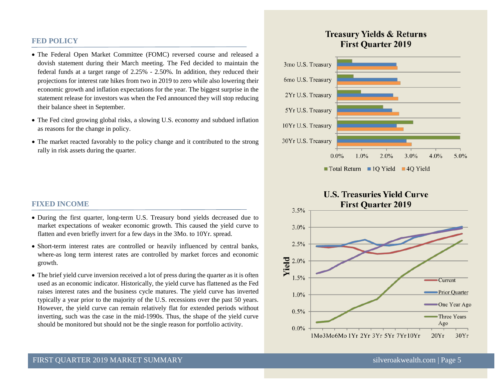#### **FED POLICY**

- The Federal Open Market Committee (FOMC) reversed course and released a dovish statement during their March meeting. The Fed decided to maintain the federal funds at a target range of 2.25% - 2.50%. In addition, they reduced their projections for interest rate hikes from two in 2019 to zero while also lowering their economic growth and inflation expectations for the year. The biggest surprise in the statement release for investors was when the Fed announced they will stop reducing their balance sheet in September.
- The Fed cited growing global risks, a slowing U.S. economy and subdued inflation as reasons for the change in policy.
- The market reacted favorably to the policy change and it contributed to the strong rally in risk assets during the quarter.

#### **FIXED INCOME**

- During the first quarter, long-term U.S. Treasury bond yields decreased due to market expectations of weaker economic growth. This caused the yield curve to flatten and even briefly invert for a few days in the 3Mo. to 10Yr. spread.
- Short-term interest rates are controlled or heavily influenced by central banks, where-as long term interest rates are controlled by market forces and economic growth.
- The brief yield curve inversion received a lot of press during the quarter as it is often used as an economic indicator. Historically, the yield curve has flattened as the Fed raises interest rates and the business cycle matures. The yield curve has inverted typically a year prior to the majority of the U.S. recessions over the past 50 years. However, the yield curve can remain relatively flat for extended periods without inverting, such was the case in the mid-1990s. Thus, the shape of the yield curve should be monitored but should not be the single reason for portfolio activity.

# **Treasury Yields & Returns First Quarter 2019**



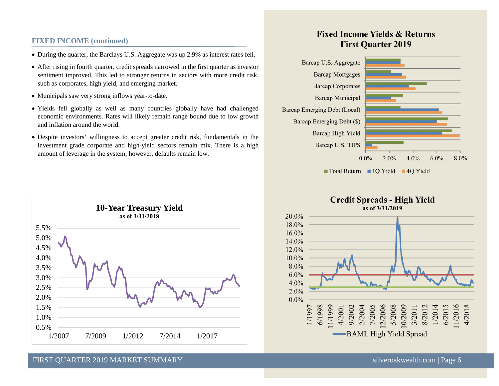# **FIXED INCOME (continued)**

- During the quarter, the Barclays U.S. Aggregate was up 2.9% as interest rates fell.
- After rising in fourth quarter, credit spreads narrowed in the first quarter as investor sentiment improved. This led to stronger returns in sectors with more credit risk, such as corporates, high yield, and emerging market.
- Municipals saw very strong inflows year-to-date.
- Yields fell globally as well as many countries globally have had challenged economic environments. Rates will likely remain range bound due to low growth and inflation around the world.
- Despite investors' willingness to accept greater credit risk, fundamentals in the investment grade corporate and high-yield sectors remain mix. There is a high amount of leverage in the system; however, defaults remain low.



# **Fixed Income Yields & Returns First Quarter 2019**



# **Credit Spreads - High Yield**



#### FIRST QUARTER 2019 MARKET SUMMARY SILVER SILVER SILVER SILVER SILVER SILVER SILVER SILVER SILVER SILVER SILVER SILVER SILVER SILVER SILVER SILVER SILVER SILVER SILVER SILVER SILVER SILVER SILVER SILVER SILVER SILVER SILVER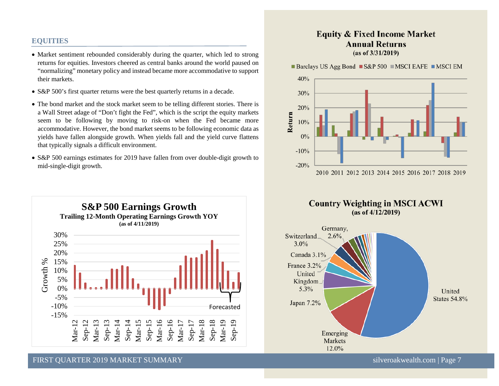# **EQUITIES**

- Market sentiment rebounded considerably during the quarter, which led to strong returns for equities. Investors cheered as central banks around the world paused on "normalizing" monetary policy and instead became more accommodative to support their markets.
- S&P 500's first quarter returns were the best quarterly returns in a decade.
- The bond market and the stock market seem to be telling different stories. There is a Wall Street adage of "Don't fight the Fed", which is the script the equity markets seem to be following by moving to risk-on when the Fed became more accommodative. However, the bond market seems to be following economic data as yields have fallen alongside growth. When yields fall and the yield curve flattens that typically signals a difficult environment.
- S&P 500 earnings estimates for 2019 have fallen from over double-digit growth to mid-single-digit growth.



# **Equity & Fixed Income Market Annual Returns**  $(as of 3/31/2019)$

**Barclays US Agg Bond**  $\blacksquare$  **S&P 500**  $\blacksquare$  **MSCI EAFE**  $\blacksquare$  **MSCI EM** 







FIRST QUARTER 2019 MARKET SUMMARY [silveroakwealth.com](http://www.silveroakwealth.com/silveroakwealth.aspx) | Page 7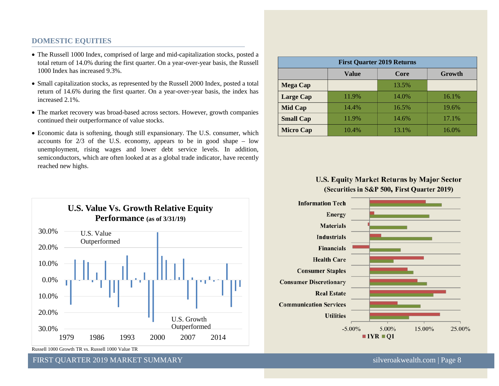# **DOMESTIC EQUITIES**

- The Russell 1000 Index, comprised of large and mid-capitalization stocks, posted a total return of 14.0% during the first quarter. On a year-over-year basis, the Russell 1000 Index has increased 9.3%.
- Small capitalization stocks, as represented by the Russell 2000 Index, posted a total return of 14.6% during the first quarter. On a year-over-year basis, the index has increased 2.1%.
- The market recovery was broad-based across sectors. However, growth companies continued their outperformance of value stocks.
- Economic data is softening, though still expansionary. The U.S. consumer, which accounts for 2/3 of the U.S. economy, appears to be in good shape – low unemployment, rising wages and lower debt service levels. In addition, semiconductors, which are often looked at as a global trade indicator, have recently reached new highs.

| <b>First Quarter 2019 Returns</b> |       |       |        |
|-----------------------------------|-------|-------|--------|
|                                   | Value | Core  | Growth |
| <b>Mega Cap</b>                   |       | 13.5% |        |
| <b>Large Cap</b>                  | 11.9% | 14.0% | 16.1%  |
| <b>Mid Cap</b>                    | 14.4% | 16.5% | 19.6%  |
| <b>Small Cap</b>                  | 11.9% | 14.6% | 17.1%  |
| <b>Micro Cap</b>                  | 10.4% | 13.1% | 16.0%  |

# **U.S. Equity Market Returns by Major Sector** (Securities in S&P 500, First Quarter 2019)





Russell 1000 Growth TR vs. Russell 1000 Value TR

FIRST QUARTER 2019 MARKET SUMMARY [silveroakwealth.com](http://www.silveroakwealth.com/silveroakwealth.aspx) | Page 8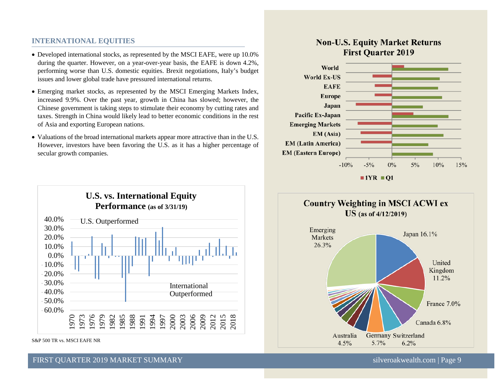# **INTERNATIONAL EQUITIES**

- Developed international stocks, as represented by the MSCI EAFE, were up 10.0% during the quarter. However, on a year-over-year basis, the EAFE is down 4.2%, performing worse than U.S. domestic equities. Brexit negotiations, Italy's budget issues and lower global trade have pressured international returns.
- Emerging market stocks, as represented by the MSCI Emerging Markets Index, increased 9.9%. Over the past year, growth in China has slowed; however, the Chinese government is taking steps to stimulate their economy by cutting rates and taxes. Strength in China would likely lead to better economic conditions in the rest of Asia and exporting European nations.
- Valuations of the broad international markets appear more attractive than in the U.S. However, investors have been favoring the U.S. as it has a higher percentage of secular growth companies.



S&P 500 TR vs. MSCI EAFE NR

# **Non-U.S. Equity Market Returns First Quarter 2019**





# FIRST QUARTER 2019 MARKET SUMMARY SILVER SILVER SILVER SILVER SILVER SILVER SILVER SILVER SILVER SILVER SILVER SILVER SILVER SILVER SILVER SILVER SILVER SILVER SILVER SILVER SILVER SILVER SILVER SILVER SILVER SILVER SILVER